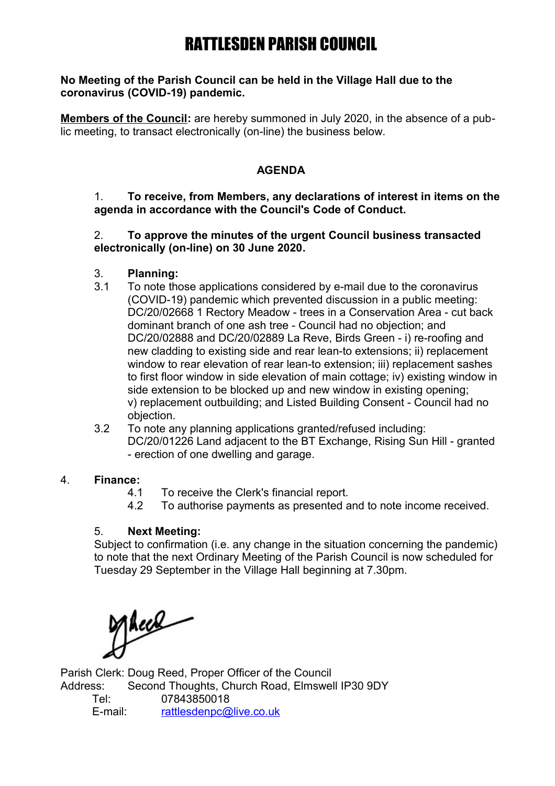# RATTLESDEN PARISH COUNCIL

#### **No Meeting of the Parish Council can be held in the Village Hall due to the coronavirus (COVID-19) pandemic.**

**Members of the Council:** are hereby summoned in July 2020, in the absence of a public meeting, to transact electronically (on-line) the business below.

### **AGENDA**

#### 1. **To receive, from Members, any declarations of interest in items on the agenda in accordance with the Council's Code of Conduct.**

#### 2. **To approve the minutes of the urgent Council business transacted electronically (on-line) on 30 June 2020.**

- 3. **Planning:**
- 3.1 To note those applications considered by e-mail due to the coronavirus (COVID-19) pandemic which prevented discussion in a public meeting: DC/20/02668 1 Rectory Meadow - trees in a Conservation Area - cut back dominant branch of one ash tree - Council had no objection; and DC/20/02888 and DC/20/02889 La Reve, Birds Green - i) re-roofing and new cladding to existing side and rear lean-to extensions; ii) replacement window to rear elevation of rear lean-to extension; iii) replacement sashes to first floor window in side elevation of main cottage; iv) existing window in side extension to be blocked up and new window in existing opening; v) replacement outbuilding; and Listed Building Consent - Council had no objection.
- 3.2 To note any planning applications granted/refused including: DC/20/01226 Land adjacent to the BT Exchange, Rising Sun Hill - granted - erection of one dwelling and garage.

#### 4. **Finance:**

- 4.1 To receive the Clerk's financial report.
- 4.2 To authorise payments as presented and to note income received.

## 5. **Next Meeting:**

Subject to confirmation (i.e. any change in the situation concerning the pandemic) to note that the next Ordinary Meeting of the Parish Council is now scheduled for Tuesday 29 September in the Village Hall beginning at 7.30pm.

Mece

Parish Clerk: Doug Reed, Proper Officer of the Council Address: Second Thoughts, Church Road, Elmswell IP30 9DY Tel: 07843850018 E-mail: [rattlesdenpc@live.co.uk](mailto:rattlesdenpc@live.co.uk)